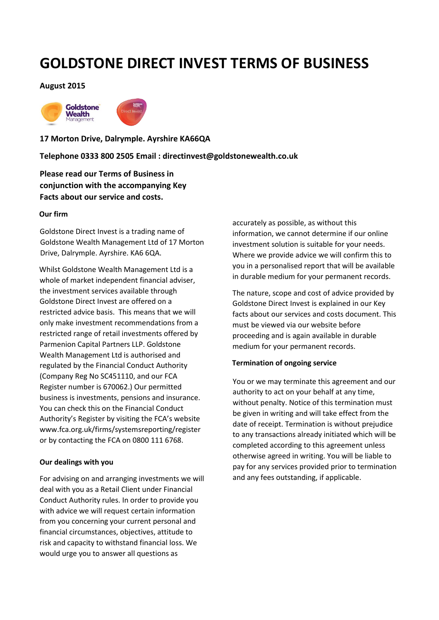# **GOLDSTONE DIRECT INVEST TERMS OF BUSINESS**

## **August 2015**



**17 Morton Drive, Dalrymple. Ayrshire KA66QA** 

**Telephone 0333 800 2505 Email : directinvest@goldstonewealth.co.uk**

**Please read our Terms of Business in conjunction with the accompanying Key Facts about our service and costs.**

#### **Our firm**

Goldstone Direct Invest is a trading name of Goldstone Wealth Management Ltd of 17 Morton Drive, Dalrymple. Ayrshire. KA6 6QA.

Whilst Goldstone Wealth Management Ltd is a whole of market independent financial adviser, the investment services available through Goldstone Direct Invest are offered on a restricted advice basis. This means that we will only make investment recommendations from a restricted range of retail investments offered by Parmenion Capital Partners LLP. Goldstone Wealth Management Ltd is authorised and regulated by the Financial Conduct Authority (Company Reg No SC451110, and our FCA Register number is 670062.) Our permitted business is investments, pensions and insurance. You can check this on the Financial Conduct Authority's Register by visiting the FCA's website www.fca.org.uk/firms/systemsreporting/register or by contacting the FCA on 0800 111 6768.

## **Our dealings with you**

For advising on and arranging investments we will deal with you as a Retail Client under Financial Conduct Authority rules. In order to provide you with advice we will request certain information from you concerning your current personal and financial circumstances, objectives, attitude to risk and capacity to withstand financial loss. We would urge you to answer all questions as

accurately as possible, as without this information, we cannot determine if our online investment solution is suitable for your needs. Where we provide advice we will confirm this to you in a personalised report that will be available in durable medium for your permanent records.

The nature, scope and cost of advice provided by Goldstone Direct Invest is explained in our Key facts about our services and costs document. This must be viewed via our website before proceeding and is again available in durable medium for your permanent records.

#### **Termination of ongoing service**

You or we may terminate this agreement and our authority to act on your behalf at any time, without penalty. Notice of this termination must be given in writing and will take effect from the date of receipt. Termination is without prejudice to any transactions already initiated which will be completed according to this agreement unless otherwise agreed in writing. You will be liable to pay for any services provided prior to termination and any fees outstanding, if applicable.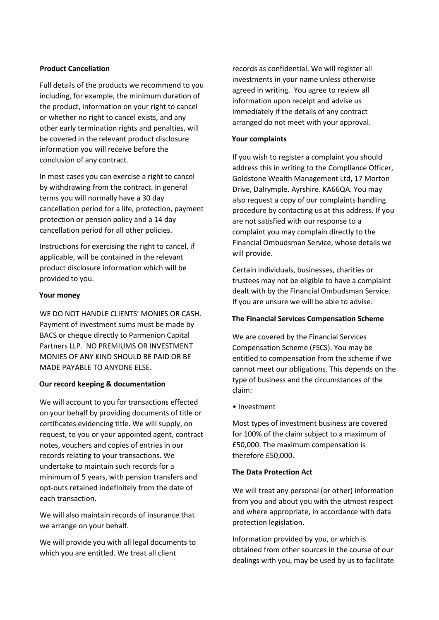# **Product Cancellation**

Full details of the products we recommend to you including, for example, the minimum duration of the product, information on your right to cancel or whether no right to cancel exists, and any other early termination rights and penalties, will be covered in the relevant product disclosure information you will receive before the conclusion of any contract.

In most cases you can exercise a right to cancel by withdrawing from the contract. In general terms you will normally have a 30 day cancellation period for a life, protection, payment protection or pension policy and a 14 day cancellation period for all other policies.

Instructions for exercising the right to cancel, if applicable, will be contained in the relevant product disclosure information which will be provided to you.

## **Your money**

WE DO NOT HANDLE CLIENTS' MONIES OR CASH. Payment of investment sums must be made by BACS or cheque directly to Parmenion Capital Partners LLP. NO PREMIUMS OR INVESTMENT MONIES OF ANY KIND SHOULD BE PAID OR BE MADE PAYABLE TO ANYONE ELSE.

# **Our record keeping & documentation**

We will account to you for transactions effected on your behalf by providing documents of title or certificates evidencing title. We will supply, on request, to you or your appointed agent, contract notes, vouchers and copies of entries in our records relating to your transactions. We undertake to maintain such records for a minimum of 5 years, with pension transfers and opt-outs retained indefinitely from the date of each transaction.

We will also maintain records of insurance that we arrange on your behalf.

We will provide you with all legal documents to which you are entitled. We treat all client

records as confidential. We will register all investments in your name unless otherwise agreed in writing. You agree to review all information upon receipt and advise us immediately if the details of any contract arranged do not meet with your approval.

# **Your complaints**

If you wish to register a complaint you should address this in writing to the Compliance Officer, Goldstone Wealth Management Ltd, 17 Morton Drive, Dalrymple. Ayrshire. KA66QA. You may also request a copy of our complaints handling procedure by contacting us at this address. If you are not satisfied with our response to a complaint you may complain directly to the Financial Ombudsman Service, whose details we will provide.

Certain individuals, businesses, charities or trustees may not be eligible to have a complaint dealt with by the Financial Ombudsman Service. If you are unsure we will be able to advise.

## **The Financial Services Compensation Scheme**

We are covered by the Financial Services Compensation Scheme (FSCS). You may be entitled to compensation from the scheme if we cannot meet our obligations. This depends on the type of business and the circumstances of the claim:

• Investment

Most types of investment business are covered for 100% of the claim subject to a maximum of £50,000. The maximum compensation is therefore £50,000.

## **The Data Protection Act**

We will treat any personal (or other) information from you and about you with the utmost respect and where appropriate, in accordance with data protection legislation.

Information provided by you, or which is obtained from other sources in the course of our dealings with you, may be used by us to facilitate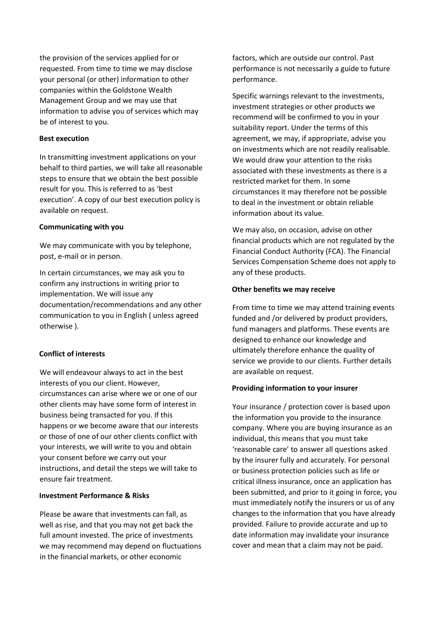the provision of the services applied for or requested. From time to time we may disclose your personal (or other) information to other companies within the Goldstone Wealth Management Group and we may use that information to advise you of services which may be of interest to you.

#### **Best execution**

In transmitting investment applications on your behalf to third parties, we will take all reasonable steps to ensure that we obtain the best possible result for you. This is referred to as 'best execution'. A copy of our best execution policy is available on request.

#### **Communicating with you**

We may communicate with you by telephone, post, e-mail or in person.

In certain circumstances, we may ask you to confirm any instructions in writing prior to implementation. We will issue any documentation/recommendations and any other communication to you in English ( unless agreed otherwise ).

## **Conflict of interests**

We will endeavour always to act in the best interests of you our client. However, circumstances can arise where we or one of our other clients may have some form of interest in business being transacted for you. If this happens or we become aware that our interests or those of one of our other clients conflict with your interests, we will write to you and obtain your consent before we carry out your instructions, and detail the steps we will take to ensure fair treatment.

#### **Investment Performance & Risks**

Please be aware that investments can fall, as well as rise, and that you may not get back the full amount invested. The price of investments we may recommend may depend on fluctuations in the financial markets, or other economic

factors, which are outside our control. Past performance is not necessarily a guide to future performance.

Specific warnings relevant to the investments, investment strategies or other products we recommend will be confirmed to you in your suitability report. Under the terms of this agreement, we may, if appropriate, advise you on investments which are not readily realisable. We would draw your attention to the risks associated with these investments as there is a restricted market for them. In some circumstances it may therefore not be possible to deal in the investment or obtain reliable information about its value.

We may also, on occasion, advise on other financial products which are not regulated by the Financial Conduct Authority (FCA). The Financial Services Compensation Scheme does not apply to any of these products.

#### **Other benefits we may receive**

From time to time we may attend training events funded and /or delivered by product providers, fund managers and platforms. These events are designed to enhance our knowledge and ultimately therefore enhance the quality of service we provide to our clients. Further details are available on request.

#### **Providing information to your insurer**

Your insurance / protection cover is based upon the information you provide to the insurance company. Where you are buying insurance as an individual, this means that you must take 'reasonable care' to answer all questions asked by the insurer fully and accurately. For personal or business protection policies such as life or critical illness insurance, once an application has been submitted, and prior to it going in force, you must immediately notify the insurers or us of any changes to the information that you have already provided. Failure to provide accurate and up to date information may invalidate your insurance cover and mean that a claim may not be paid.